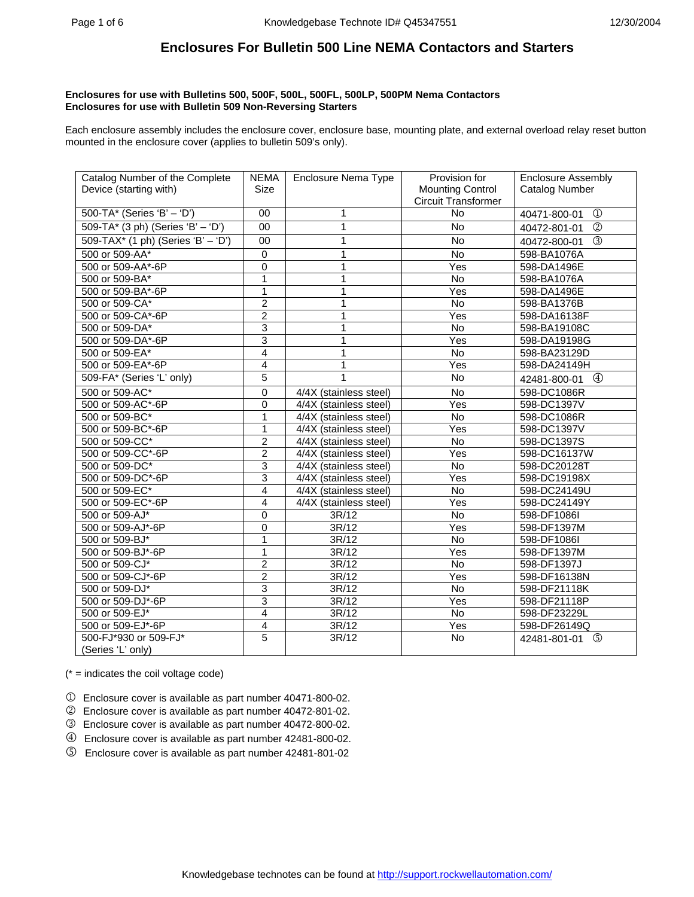## **Enclosures for use with Bulletins 500, 500F, 500L, 500FL, 500LP, 500PM Nema Contactors Enclosures for use with Bulletin 509 Non-Reversing Starters**

Each enclosure assembly includes the enclosure cover, enclosure base, mounting plate, and external overload relay reset button mounted in the enclosure cover (applies to bulletin 509's only).

| Catalog Number of the Complete     | <b>NEMA</b>    | Enclosure Nema Type                 | Provision for           | <b>Enclosure Assembly</b>      |  |
|------------------------------------|----------------|-------------------------------------|-------------------------|--------------------------------|--|
| Device (starting with)             | <b>Size</b>    |                                     | <b>Mounting Control</b> | Catalog Number                 |  |
|                                    |                |                                     | Circuit Transformer     |                                |  |
| 500-TA* (Series 'B' - 'D')         | $00\,$         | 1                                   | <b>No</b>               | $^{\circledR}$<br>40471-800-01 |  |
| 509-TA* (3 ph) (Series 'B' - 'D')  | 00             | 1                                   | <b>No</b>               | (2)<br>40472-801-01            |  |
| 509-TAX* (1 ph) (Series 'B' - 'D') | 00             | 1                                   | <b>No</b>               | $\circled{3}$<br>40472-800-01  |  |
| 500 or 509-AA*                     | $\mathbf 0$    | 1                                   | No                      | 598-BA1076A                    |  |
| 500 or 509-AA*-6P                  | $\Omega$       | 1                                   | Yes                     | 598-DA1496E                    |  |
| 500 or 509-BA*                     | 1              | 1                                   | <b>No</b>               | 598-BA1076A                    |  |
| 500 or 509-BA*-6P                  | 1              |                                     | Yes                     | 598-DA1496E                    |  |
| 500 or 509-CA*                     | 2              | 1                                   | <b>No</b>               | 598-BA1376B                    |  |
| 500 or 509-CA*-6P                  | $\overline{2}$ | 1                                   | Yes                     | 598-DA16138F                   |  |
| 500 or 509-DA*                     | 3              | 1                                   | No                      | 598-BA19108C                   |  |
| 500 or 509-DA*-6P                  | 3              | 1                                   | Yes                     | 598-DA19198G                   |  |
| 500 or 509-EA*                     | 4              | 1                                   | No                      | 598-BA23129D                   |  |
| 500 or 509-EA*-6P                  | 4              | 1                                   | Yes                     | 598-DA24149H                   |  |
| 509-FA* (Series 'L' only)          | 5              | 1                                   | No                      | $^{\circledR}$<br>42481-800-01 |  |
| 500 or 509-AC*                     | 0              | 4/4X (stainless steel)              | No                      | 598-DC1086R                    |  |
| 500 or 509-AC*-6P                  | 0              | 4/4X (stainless steel)              | Yes                     | 598-DC1397V                    |  |
| 500 or 509-BC*                     | 1              | 4/4X (stainless steel)              | <b>No</b>               | 598-DC1086R                    |  |
| 500 or 509-BC*-6P                  | 1              | $\overline{4/4X}$ (stainless steel) | Yes                     | 598-DC1397V                    |  |
| 500 or 509-CC*                     | $\overline{2}$ | 4/4X (stainless steel)              | <b>No</b>               | 598-DC1397S                    |  |
| 500 or 509-CC*-6P                  | 2              | 4/4X (stainless steel)              | Yes                     | 598-DC16137W                   |  |
| 500 or 509-DC*                     | 3              | 4/4X (stainless steel)              | <b>No</b>               | 598-DC20128T                   |  |
| 500 or 509-DC*-6P                  | 3              | 4/4X (stainless steel)              | Yes                     | 598-DC19198X                   |  |
| 500 or 509-EC*                     | 4              | 4/4X (stainless steel)              | No                      | 598-DC24149U                   |  |
| 500 or 509-EC*-6P                  | 4              | 4/4X (stainless steel)              | Yes                     | 598-DC24149Y                   |  |
| 500 or 509-AJ*                     | 0              | 3R/12                               | <b>No</b>               | 598-DF1086I                    |  |
| 500 or 509-AJ*-6P                  | 0              | 3R/12                               | Yes                     | 598-DF1397M                    |  |
| 500 or 509-BJ*                     | 1              | 3R/12                               | <b>No</b>               | 598-DF1086I                    |  |
| 500 or 509-BJ*-6P                  | 1              | 3R/12                               | Yes                     | 598-DF1397M                    |  |
| 500 or 509-CJ*                     | 2              | 3R/12                               | No                      | 598-DF1397J                    |  |
| 500 or 509-CJ*-6P                  | $\overline{2}$ | 3R/12                               | Yes                     | 598-DF16138N                   |  |
| 500 or 509-DJ*                     | 3              | 3R/12                               | No                      | 598-DF21118K                   |  |
| 500 or 509-DJ*-6P                  | $\overline{3}$ | 3R/12                               | Yes                     | 598-DF21118P                   |  |
| 500 or 509-EJ*                     | 4              | 3R/12                               | <b>No</b>               | 598-DF23229L                   |  |
| 500 or 509-EJ*-6P                  | 4              | 3R/12                               | Yes                     | 598-DF26149Q                   |  |
| 500-FJ*930 or 509-FJ*              | 5              | 3R/12                               | <b>No</b>               | ග<br>42481-801-01              |  |
| (Series 'L' only)                  |                |                                     |                         |                                |  |

 $(* =$  indicates the coil voltage code)

- 1 Enclosure cover is available as part number 40471-800-02.
- 2 Enclosure cover is available as part number 40472-801-02.
- 3 Enclosure cover is available as part number 40472-800-02.
- 4 Enclosure cover is available as part number 42481-800-02.
- 5 Enclosure cover is available as part number 42481-801-02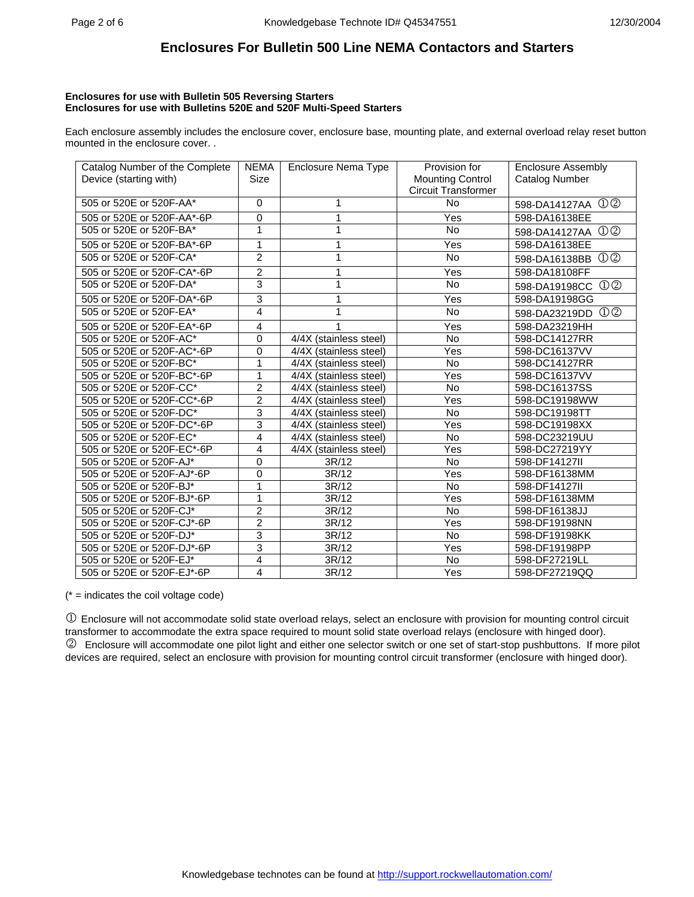#### **Enclosures for use with Bulletin 505 Reversing Starters Enclosures for use with Bulletins 520E and 520F Multi-Speed Starters**

Each enclosure assembly includes the enclosure cover, enclosure base, mounting plate, and external overload relay reset button mounted in the enclosure cover. .

| Catalog Number of the Complete | <b>NEMA</b>    | Enclosure Nema Type    | Provision for              | <b>Enclosure Assembly</b>                |  |
|--------------------------------|----------------|------------------------|----------------------------|------------------------------------------|--|
| Device (starting with)         | <b>Size</b>    |                        | <b>Mounting Control</b>    | Catalog Number                           |  |
|                                |                |                        | <b>Circuit Transformer</b> |                                          |  |
| 505 or 520E or 520F-AA*        | $\Omega$       | 1                      | <b>No</b>                  | 598-DA14127AA ①②                         |  |
| 505 or 520E or 520F-AA*-6P     | $\mathbf 0$    | 1                      | Yes                        | 598-DA16138EE                            |  |
| 505 or 520E or 520F-BA*        | 1              | 1                      | No.                        | 598-DA14127AA ①②                         |  |
| 505 or 520E or 520F-BA*-6P     | 1              | 1                      | Yes                        | 598-DA16138EE                            |  |
| 505 or 520E or 520F-CA*        | $\overline{2}$ | 1                      | No                         | $\mathbb{O} \mathbb{O}$<br>598-DA16138BB |  |
| 505 or 520E or 520F-CA*-6P     | $\overline{2}$ | 1                      | Yes                        | 598-DA18108FF                            |  |
| 505 or 520E or 520F-DA*        | 3              | 1                      | No                         | $\mathbb{O} \mathbb{O}$<br>598-DA19198CC |  |
| 505 or 520E or 520F-DA*-6P     | 3              | 1                      | Yes                        | 598-DA19198GG                            |  |
| 505 or 520E or 520F-EA*        | 4              | 1                      | <b>No</b>                  | $\mathbb{O} \mathbb{O}$<br>598-DA23219DD |  |
| 505 or 520E or 520F-EA*-6P     | 4              | 1                      | Yes                        | 598-DA23219HH                            |  |
| 505 or 520E or 520F-AC*        | $\Omega$       | 4/4X (stainless steel) | No                         | 598-DC14127RR                            |  |
| 505 or 520E or 520F-AC*-6P     | $\mathbf 0$    | 4/4X (stainless steel) | Yes                        | 598-DC16137VV                            |  |
| 505 or 520E or 520F-BC*        | 1              | 4/4X (stainless steel) | No                         | 598-DC14127RR                            |  |
| 505 or 520E or 520F-BC*-6P     | 1              | 4/4X (stainless steel) | Yes                        | 598-DC16137VV                            |  |
| 505 or 520E or 520F-CC*        | $\overline{2}$ | 4/4X (stainless steel) | <b>No</b>                  | 598-DC16137SS                            |  |
| 505 or 520E or 520F-CC*-6P     | $\overline{2}$ | 4/4X (stainless steel) | Yes                        | 598-DC19198WW                            |  |
| 505 or 520E or 520F-DC*        | 3              | 4/4X (stainless steel) | <b>No</b>                  | 598-DC19198TT                            |  |
| 505 or 520E or 520F-DC*-6P     | 3              | 4/4X (stainless steel) | Yes                        | 598-DC19198XX                            |  |
| 505 or 520E or 520F-EC*        | 4              | 4/4X (stainless steel) | <b>No</b>                  | 598-DC23219UU                            |  |
| 505 or 520E or 520F-EC*-6P     | 4              | 4/4X (stainless steel) | Yes                        | 598-DC27219YY                            |  |
| 505 or 520E or 520F-AJ*        | $\mathbf 0$    | 3R/12                  | <b>No</b>                  | 598-DF14127II                            |  |
| 505 or 520E or 520F-AJ*-6P     | $\Omega$       | 3R/12                  | Yes                        | 598-DF16138MM                            |  |
| 505 or 520E or 520F-BJ*        | 1              | 3R/12                  | No                         | 598-DF14127II                            |  |
| 505 or 520E or 520F-BJ*-6P     | 1              | 3R/12                  | Yes                        | 598-DF16138MM                            |  |
| 505 or 520E or 520F-CJ*        | $\overline{2}$ | 3R/12                  | <b>No</b>                  | 598-DF16138JJ                            |  |
| 505 or 520E or 520F-CJ*-6P     | $\overline{2}$ | 3R/12                  | Yes                        | 598-DF19198NN                            |  |
| 505 or 520E or 520F-DJ*        | 3              | 3R/12                  | <b>No</b>                  | 598-DF19198KK                            |  |
| 505 or 520E or 520F-DJ*-6P     | 3              | 3R/12                  | Yes                        | 598-DF19198PP                            |  |
| 505 or 520E or 520F-EJ*        | 4              | 3R/12                  | <b>No</b>                  | 598-DF27219LL                            |  |
| 505 or 520E or 520F-EJ*-6P     | 4              | 3R/12                  | Yes                        | 598-DF27219QQ                            |  |

 $(* =$  indicates the coil voltage code)

1 Enclosure will not accommodate solid state overload relays, select an enclosure with provision for mounting control circuit transformer to accommodate the extra space required to mount solid state overload relays (enclosure with hinged door). 2 Enclosure will accommodate one pilot light and either one selector switch or one set of start-stop pushbuttons. If more pilot devices are required, select an enclosure with provision for mounting control circuit transformer (enclosure with hinged door).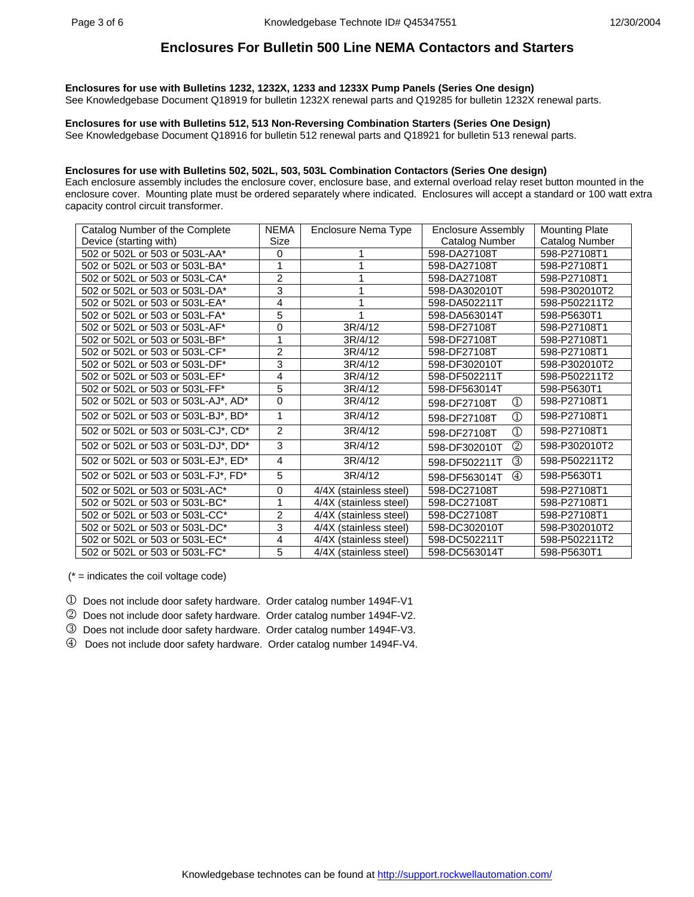**Enclosures for use with Bulletins 1232, 1232X, 1233 and 1233X Pump Panels (Series One design)**  See Knowledgebase Document Q18919 for bulletin 1232X renewal parts and Q19285 for bulletin 1232X renewal parts.

**Enclosures for use with Bulletins 512, 513 Non-Reversing Combination Starters (Series One Design)**  See Knowledgebase Document Q18916 for bulletin 512 renewal parts and Q18921 for bulletin 513 renewal parts.

### **Enclosures for use with Bulletins 502, 502L, 503, 503L Combination Contactors (Series One design)**

Each enclosure assembly includes the enclosure cover, enclosure base, and external overload relay reset button mounted in the enclosure cover. Mounting plate must be ordered separately where indicated. Enclosures will accept a standard or 100 watt extra capacity control circuit transformer.

| Catalog Number of the Complete      | <b>NEMA</b>    | Enclosure Nema Type    | <b>Enclosure Assembly</b>                      | <b>Mounting Plate</b> |
|-------------------------------------|----------------|------------------------|------------------------------------------------|-----------------------|
| Device (starting with)              | Size           |                        | Catalog Number                                 | <b>Catalog Number</b> |
| 502 or 502L or 503 or 503L-AA*      | 0              | 1                      | 598-DA27108T                                   | 598-P27108T1          |
| 502 or 502L or 503 or 503L-BA*      | 1              |                        | 598-DA27108T                                   | 598-P27108T1          |
| 502 or 502L or 503 or 503L-CA*      | $\overline{2}$ | 1                      | 598-DA27108T                                   | 598-P27108T1          |
| 502 or 502L or 503 or 503L-DA*      | 3              |                        | 598-DA302010T                                  | 598-P302010T2         |
| 502 or 502L or 503 or 503L-EA*      | 4              |                        | 598-DA502211T                                  | 598-P502211T2         |
| 502 or 502L or 503 or 503L-FA*      | 5              |                        | 598-DA563014T                                  | 598-P5630T1           |
| 502 or 502L or 503 or 503L-AF*      | 0              | 3R/4/12                | 598-DF27108T                                   | 598-P27108T1          |
| 502 or 502L or 503 or 503L-BF*      | 1              | 3R/4/12                | 598-DF27108T                                   | 598-P27108T1          |
| 502 or 502L or 503 or 503L-CF*      | $\overline{2}$ | 3R/4/12                | 598-DF27108T                                   | 598-P27108T1          |
| 502 or 502L or 503 or 503L-DF*      | 3              | 3R/4/12                | 598-DF302010T                                  | 598-P302010T2         |
| 502 or 502L or 503 or 503L-EF*      | 4              | 3R/4/12                | 598-DF502211T                                  | 598-P502211T2         |
| 502 or 502L or 503 or 503L-FF*      | 5              | 3R/4/12                | 598-DF563014T                                  | 598-P5630T1           |
| 502 or 502L or 503 or 503L-AJ*, AD* | $\Omega$       | 3R/4/12                | $^{\circledR}$<br>598-DF27108T                 | 598-P27108T1          |
| 502 or 502L or 503 or 503L-BJ*, BD* | 1              | 3R/4/12                | $^\copyright$<br>598-DF27108T                  | 598-P27108T1          |
| 502 or 502L or 503 or 503L-CJ*, CD* | 2              | 3R/4/12                | $\textcircled{\scriptsize{1}}$<br>598-DF27108T | 598-P27108T1          |
| 502 or 502L or 503 or 503L-DJ*, DD* | 3              | 3R/4/12                | (2)<br>598-DF302010T                           | 598-P302010T2         |
| 502 or 502L or 503 or 503L-EJ*, ED* | 4              | 3R/4/12                | ③<br>598-DF502211T                             | 598-P502211T2         |
| 502 or 502L or 503 or 503L-FJ*, FD* | 5              | 3R/4/12                | $\circled{4}$<br>598-DF563014T                 | 598-P5630T1           |
| 502 or 502L or 503 or 503L-AC*      | 0              | 4/4X (stainless steel) | 598-DC27108T                                   | 598-P27108T1          |
| 502 or 502L or 503 or 503L-BC*      | 1              | 4/4X (stainless steel) | 598-DC27108T                                   | 598-P27108T1          |
| 502 or 502L or 503 or 503L-CC*      | $\overline{2}$ | 4/4X (stainless steel) | 598-DC27108T                                   | 598-P27108T1          |
| 502 or 502L or 503 or 503L-DC*      | 3              | 4/4X (stainless steel) | 598-DC302010T                                  | 598-P302010T2         |
| 502 or 502L or 503 or 503L-EC*      | 4              | 4/4X (stainless steel) | 598-DC502211T                                  | 598-P502211T2         |
| 502 or 502L or 503 or 503L-FC*      | 5              | 4/4X (stainless steel) | 598-DC563014T                                  | 598-P5630T1           |

 $(* =$  indicates the coil voltage code)

- 1 Does not include door safety hardware. Order catalog number 1494F-V1
- 2 Does not include door safety hardware. Order catalog number 1494F-V2.
- 3 Does not include door safety hardware. Order catalog number 1494F-V3.
- 4 Does not include door safety hardware. Order catalog number 1494F-V4.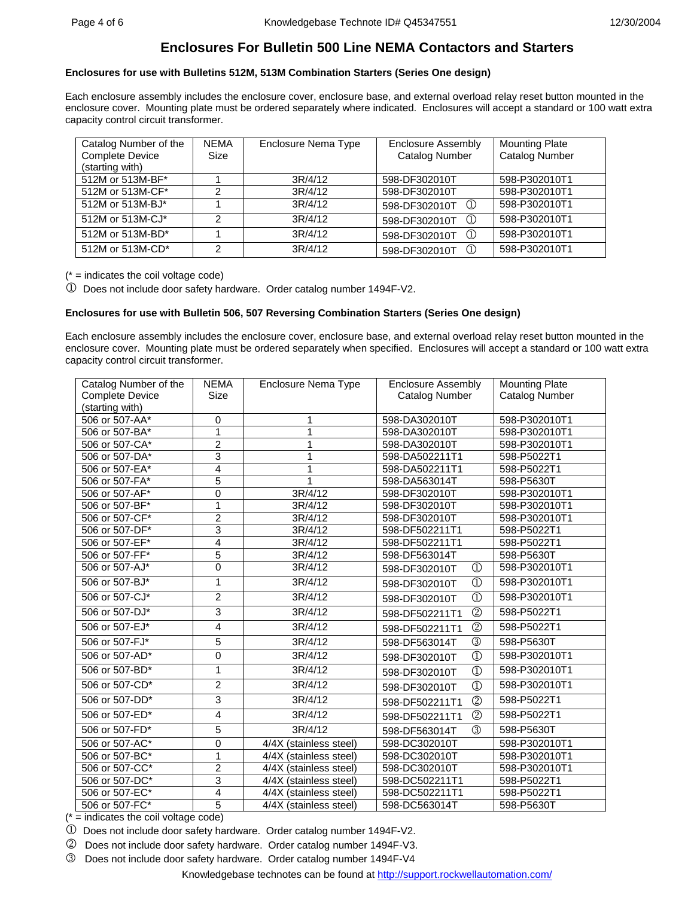## **Enclosures for use with Bulletins 512M, 513M Combination Starters (Series One design)**

Each enclosure assembly includes the enclosure cover, enclosure base, and external overload relay reset button mounted in the enclosure cover. Mounting plate must be ordered separately where indicated. Enclosures will accept a standard or 100 watt extra capacity control circuit transformer.

| Catalog Number of the  | <b>NEMA</b>    | Enclosure Nema Type | Enclosure Assembly             | <b>Mounting Plate</b> |
|------------------------|----------------|---------------------|--------------------------------|-----------------------|
| <b>Complete Device</b> | Size           |                     | <b>Catalog Number</b>          | <b>Catalog Number</b> |
| (starting with)        |                |                     |                                |                       |
| 512M or 513M-BF*       |                | 3R/4/12             | 598-DF302010T                  | 598-P302010T1         |
| 512M or 513M-CF*       | າ              | 3R/4/12             | 598-DF302010T                  | 598-P302010T1         |
| 512M or 513M-BJ*       |                | 3R/4/12             | $\Omega$<br>598-DF302010T      | 598-P302010T1         |
| 512M or 513M-CJ*       | $\mathcal{P}$  | 3R/4/12             | $\circled{1}$<br>598-DF302010T | 598-P302010T1         |
| 512M or 513M-BD*       |                | 3R/4/12             | $\bigcirc$<br>598-DF302010T    | 598-P302010T1         |
| 512M or 513M-CD*       | $\mathfrak{p}$ | 3R/4/12             | $\Omega$<br>598-DF302010T      | 598-P302010T1         |

 $(* =$  indicates the coil voltage code)

1 Does not include door safety hardware. Order catalog number 1494F-V2.

## **Enclosures for use with Bulletin 506, 507 Reversing Combination Starters (Series One design)**

Each enclosure assembly includes the enclosure cover, enclosure base, and external overload relay reset button mounted in the enclosure cover. Mounting plate must be ordered separately when specified. Enclosures will accept a standard or 100 watt extra capacity control circuit transformer.

| Catalog Number of the  | <b>NEMA</b>             | Enclosure Nema Type<br><b>Enclosure Assembly</b> |                                  | <b>Mounting Plate</b> |
|------------------------|-------------------------|--------------------------------------------------|----------------------------------|-----------------------|
| <b>Complete Device</b> | Size                    |                                                  | Catalog Number                   | Catalog Number        |
| (starting with)        |                         |                                                  |                                  |                       |
| 506 or 507-AA*         | 0                       | 598-DA302010T<br>1                               |                                  | 598-P302010T1         |
| 506 or 507-BA*         | 1                       | 1                                                | 598-DA302010T                    | 598-P302010T1         |
| 506 or 507-CA*         | $\overline{c}$          | 1                                                | 598-DA302010T                    | 598-P302010T1         |
| 506 or 507-DA*         | 3                       | 1                                                | 598-DA502211T1                   | 598-P5022T1           |
| 506 or 507-EA*         | 4                       | 1                                                | 598-DA502211T1                   | 598-P5022T1           |
| 506 or 507-FA*         | 5                       | 1                                                | 598-DA563014T                    | 598-P5630T            |
| 506 or 507-AF*         | 0                       | 3R/4/12                                          | 598-DF302010T                    | 598-P302010T1         |
| 506 or 507-BF*         | 1                       | 3R/4/12                                          | 598-DF302010T                    | 598-P302010T1         |
| 506 or 507-CF*         | $\overline{2}$          | 3R/4/12                                          | 598-DF302010T                    | 598-P302010T1         |
| 506 or 507-DF*         | $\overline{3}$          | 3R/4/12                                          | 598-DF502211T1                   | 598-P5022T1           |
| 506 or 507-EF*         | 4                       | 3R/4/12                                          | 598-DF502211T1                   | 598-P5022T1           |
| 506 or 507-FF*         | $\overline{5}$          | 3R/4/12                                          | 598-DF563014T                    | 598-P5630T            |
| 506 or 507-AJ*         | 0                       | 3R/4/12                                          | $\circled{1}$<br>598-DF302010T   | 598-P302010T1         |
| 506 or 507-BJ*         | 1                       | 3R/4/12                                          | $\circled{1}$<br>598-DF302010T   | 598-P302010T1         |
| 506 or 507-CJ*         | $\overline{2}$          | 3R/4/12                                          | $\circled{1}$<br>598-DF302010T   | 598-P302010T1         |
| 506 or 507-DJ*         | 3                       | 3R/4/12                                          | $^{\circledR}$<br>598-DF502211T1 | 598-P5022T1           |
| 506 or 507-EJ*         | 4                       | 3R/4/12                                          | $\circledS$<br>598-DF502211T1    | 598-P5022T1           |
| 506 or 507-FJ*         | $\overline{5}$          | 3R/4/12                                          | $\circled{3}$<br>598-DF563014T   | 598-P5630T            |
| 506 or 507-AD*         | 0                       | 3R/4/12                                          | $\circled{1}$<br>598-DF302010T   | 598-P302010T1         |
| 506 or 507-BD*         | 1                       | 3R/4/12                                          | $\circled{1}$<br>598-DF302010T   | 598-P302010T1         |
| 506 or 507-CD*         | $\overline{2}$          | 3R/4/12                                          | $\circled{1}$<br>598-DF302010T   | 598-P302010T1         |
| 506 or 507-DD*         | 3                       | 3R/4/12                                          | $^{\circledR}$<br>598-DF502211T1 | 598-P5022T1           |
| 506 or 507-ED*         | $\overline{4}$          | 3R/4/12                                          | $\circled{2}$<br>598-DF502211T1  | 598-P5022T1           |
| 506 or 507-FD*         | 5                       | 3R/4/12                                          | $\circled{3}$<br>598-DF563014T   | 598-P5630T            |
| 506 or 507-AC*         | 0                       | 4/4X (stainless steel)                           | 598-DC302010T                    | 598-P302010T1         |
| 506 or 507-BC*         | $\overline{1}$          | 4/4X (stainless steel)                           | 598-DC302010T                    | 598-P302010T1         |
| 506 or 507-CC*         | $\overline{\mathbf{c}}$ | 4/4X (stainless steel)                           | 598-DC302010T                    | 598-P302010T1         |
| 506 or 507-DC*         | $\overline{3}$          | 4/4X (stainless steel)                           | 598-DC502211T1                   | 598-P5022T1           |
| 506 or 507-EC*         | 4                       | 4/4X (stainless steel)                           | 598-DC502211T1                   | 598-P5022T1           |
| 506 or 507-FC*         | 5                       | 4/4X (stainless steel)                           | 598-DC563014T                    | 598-P5630T            |

 $(* =$  indicates the coil voltage code)

1 Does not include door safety hardware. Order catalog number 1494F-V2.

2 Does not include door safety hardware. Order catalog number 1494F-V3.

3 Does not include door safety hardware. Order catalog number 1494F-V4

Knowledgebase technotes can be found at<http://support.rockwellautomation.com/>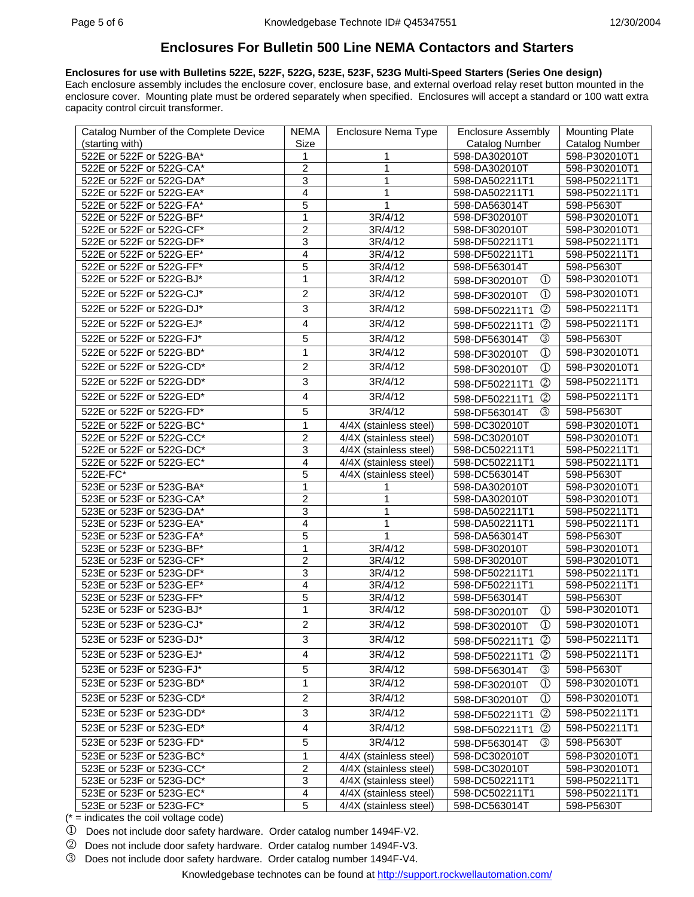**Enclosures for use with Bulletins 522E, 522F, 522G, 523E, 523F, 523G Multi-Speed Starters (Series One design)**  Each enclosure assembly includes the enclosure cover, enclosure base, and external overload relay reset button mounted in the enclosure cover. Mounting plate must be ordered separately when specified. Enclosures will accept a standard or 100 watt extra capacity control circuit transformer.

| Catalog Number of the Complete Device | <b>NEMA</b>             | Enclosure Nema Type                 | <b>Enclosure Assembly</b>          | <b>Mounting Plate</b> |
|---------------------------------------|-------------------------|-------------------------------------|------------------------------------|-----------------------|
| (starting with)                       | Size                    |                                     | Catalog Number                     | <b>Catalog Number</b> |
| 522E or 522F or 522G-BA*              | 1                       | 1                                   | 598-DA302010T                      | 598-P302010T1         |
| 522E or 522F or 522G-CA*              | $\overline{\mathbf{c}}$ | 1                                   | 598-DA302010T                      | 598-P302010T1         |
| 522E or 522F or 522G-DA*              | 3                       | $\mathbf{1}$                        | 598-DA502211T1                     | 598-P502211T1         |
| 522E or 522F or 522G-EA*              | 4                       | 1                                   | 598-DA502211T1                     | 598-P502211T1         |
| 522E or 522F or 522G-FA*              | 5                       | 1                                   | 598-DA563014T                      | 598-P5630T            |
| 522E or 522F or 522G-BF*              | 1                       | 3R/4/12                             | 598-DF302010T                      | 598-P302010T1         |
| 522E or 522F or 522G-CF*              | $\overline{\mathbf{c}}$ | 3R/4/12                             | 598-DF302010T                      | 598-P302010T1         |
| 522E or 522F or 522G-DF*              | 3                       | 3R/4/12                             | 598-DF502211T1                     | 598-P502211T1         |
| 522E or 522F or 522G-EF*              | $\overline{4}$          | 3R/4/12                             | 598-DF502211T1                     | 598-P502211T1         |
| 522E or 522F or 522G-FF*              | $\overline{5}$          | 3R/4/12                             | 598-DF563014T                      | 598-P5630T            |
| 522E or 522F or 522G-BJ*              | $\mathbf{1}$            | 3R/4/12                             | $\circled{1}$<br>598-DF302010T     | 598-P302010T1         |
| 522E or 522F or 522G-CJ*              | $\overline{2}$          | 3R/4/12                             | $^{\circledR}$<br>598-DF302010T    | 598-P302010T1         |
| 522E or 522F or 522G-DJ*              | 3                       | 3R/4/12                             | $^{\circledR}$<br>598-DF502211T1   | 598-P502211T1         |
| 522E or 522F or 522G-EJ*              | $\overline{\mathbf{4}}$ | 3R/4/12                             | $^{\circledR}$<br>598-DF502211T1   | 598-P502211T1         |
| 522E or 522F or 522G-FJ*              | 5                       | 3R/4/12                             | ③<br>598-DF563014T                 | 598-P5630T            |
| 522E or 522F or 522G-BD*              | $\mathbf{1}$            | 3R/4/12                             | $\circled{1}$<br>598-DF302010T     | 598-P302010T1         |
| 522E or 522F or 522G-CD*              | $\overline{c}$          | 3R/4/12                             | $\mathcal{D}$                      | 598-P302010T1         |
|                                       |                         |                                     | 598-DF302010T                      |                       |
| 522E or 522F or 522G-DD*              | 3                       | 3R/4/12                             | $\circled{2}$<br>598-DF502211T1    | 598-P502211T1         |
| 522E or 522F or 522G-ED*              | 4                       | 3R/4/12                             | (2)<br>598-DF502211T1              | 598-P502211T1         |
| 522E or 522F or 522G-FD*              | 5                       | 3R/4/12                             | $\circled{3}$<br>598-DF563014T     | 598-P5630T            |
| 522E or 522F or 522G-BC*              | 1                       | 4/4X (stainless steel)              | 598-DC302010T                      | 598-P302010T1         |
| 522E or 522F or 522G-CC*              | $\overline{2}$          | 4/4X (stainless steel)              | 598-DC302010T                      | 598-P302010T1         |
| 522E or 522F or 522G-DC*              | 3                       | $\overline{4/4}X$ (stainless steel) | 598-DC502211T1                     | 598-P502211T1         |
| 522E or 522F or 522G-EC*              | 4                       | 4/4X (stainless steel)              | 598-DC502211T1                     | 598-P502211T1         |
| $522E-FC*$                            | 5                       | 4/4X (stainless steel)              | 598-DC563014T                      | 598-P5630T            |
| 523E or 523F or 523G-BA*              | 1                       |                                     | 598-DA302010T                      | 598-P302010T1         |
| 523E or 523F or 523G-CA*              | $\overline{2}$          | 1                                   | 598-DA302010T                      | 598-P302010T1         |
| 523E or 523F or 523G-DA*              | 3                       | 1                                   | 598-DA502211T1                     | 598-P502211T1         |
| 523E or 523F or 523G-EA*              | 4                       | 1                                   | 598-DA502211T1                     | 598-P502211T1         |
| 523E or 523F or 523G-FA*              | 5                       | 1                                   | 598-DA563014T                      | 598-P5630T            |
| 523E or 523F or 523G-BF*              | 1                       | 3R/4/12                             | 598-DF302010T                      | 598-P302010T1         |
| 523E or 523F or 523G-CF*              | $\overline{c}$          | 3R/4/12                             | 598-DF302010T                      | 598-P302010T1         |
| 523E or 523F or 523G-DF*              | 3                       | 3R/4/12                             | 598-DF502211T1                     | 598-P502211T1         |
| 523E or 523F or 523G-EF*              | 4                       | 3R/4/12                             | 598-DF502211T1                     | 598-P502211T1         |
| 523E or 523F or 523G-FF*              | 5                       | 3R/4/12                             | 598-DF563014T                      | 598-P5630T            |
| 523E or 523F or 523G-BJ*              | 1                       | 3R/4/12                             | $\circled{1}$<br>598-DF302010T     | 598-P302010T1         |
| 523E or 523F or 523G-CJ*              | $\overline{2}$          | 3R/4/12                             | $\textcircled{1}$<br>598-DF302010T | 598-P302010T1         |
| 523E or 523F or 523G-DJ*              | 3                       | 3R/4/12                             | $\circled{2}$<br>598-DF502211T1    | 598-P502211T1         |
| 523E or 523F or 523G-EJ*              | 4                       | 3R/4/12                             | ②<br>598-DF502211T1                | 598-P502211T1         |
| 523E or 523F or 523G-FJ*              | 5                       | 3R/4/12                             | ③<br>598-DF563014T                 | 598-P5630T            |
| 523E or 523F or 523G-BD*              | 1                       | 3R/4/12                             | $\textcircled{1}$<br>598-DF302010T | 598-P302010T1         |
| 523E or 523F or 523G-CD*              | $\overline{c}$          | 3R/4/12                             | $^\circledR$<br>598-DF302010T      | 598-P302010T1         |
| 523E or 523F or 523G-DD*              | 3                       | 3R/4/12                             | $\circled{2}$<br>598-DF502211T1    | 598-P502211T1         |
| 523E or 523F or 523G-ED*              | $\overline{\mathbf{4}}$ | 3R/4/12                             | ②<br>598-DF502211T1                | 598-P502211T1         |
| 523E or 523F or 523G-FD*              | 5                       | 3R/4/12                             | 3<br>598-DF563014T                 | 598-P5630T            |
| 523E or 523F or 523G-BC*              | 1                       | $\overline{4/4}X$ (stainless steel) | 598-DC302010T                      | 598-P302010T1         |
| 523E or 523F or 523G-CC*              | $\overline{2}$          | 4/4X (stainless steel)              | 598-DC302010T                      | 598-P302010T1         |
| 523E or 523F or 523G-DC*              | 3                       | 4/4X (stainless steel)              | 598-DC502211T1                     | 598-P502211T1         |
| 523E or 523F or 523G-EC*              | $\overline{\mathbf{4}}$ | 4/4X (stainless steel)              | 598-DC502211T1                     | 598-P502211T1         |
| 523E or 523F or 523G-FC*              | 5                       | 4/4X (stainless steel)              | 598-DC563014T                      | 598-P5630T            |

 $(* =$  indicates the coil voltage code)

1 Does not include door safety hardware. Order catalog number 1494F-V2.

2 Does not include door safety hardware. Order catalog number 1494F-V3.

3 Does not include door safety hardware. Order catalog number 1494F-V4.

Knowledgebase technotes can be found at<http://support.rockwellautomation.com/>